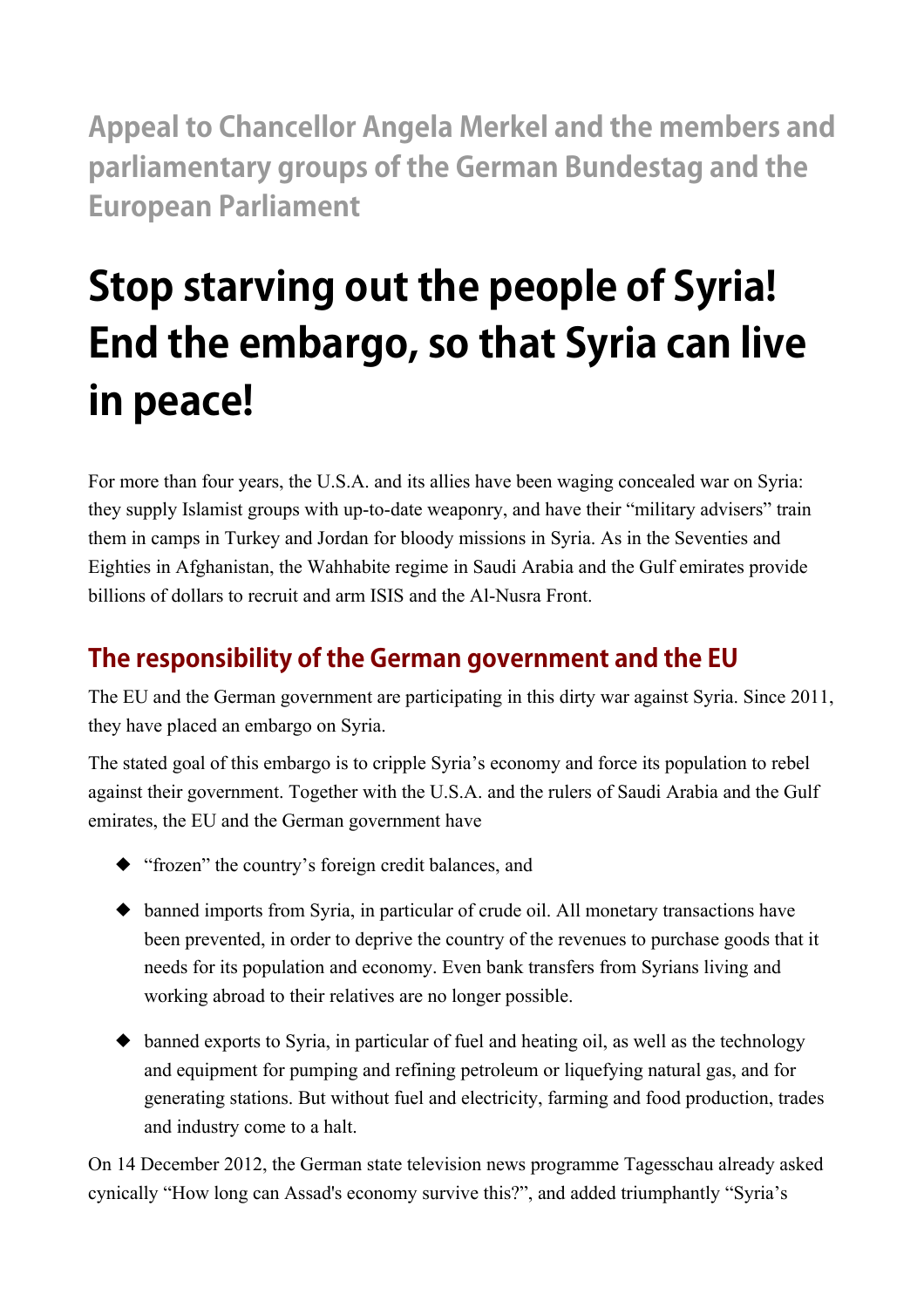**Appeal to Chancellor Angela Merkel and the members and** parliamentary groups of the German Bundestag and the **European Parliament** 

# **Stop starving out the people of Syria! End the embargo, so that Syria can live** in peace!

For more than four years, the U.S.A. and its allies have been waging concealed war on Syria: they supply Islamist groups with up-to-date weaponry, and have their "military advisers" train them in camps in Turkey and Jordan for bloody missions in Syria. As in the Seventies and Eighties in Afghanistan, the Wahhabite regime in Saudi Arabia and the Gulf emirates provide billions of dollars to recruit and arm ISIS and the Al-Nusra Front.

## The responsibility of the German government and the EU

The EU and the German government are participating in this dirty war against Syria. Since 2011, they have placed an embargo on Syria.

The stated goal of this embargo is to cripple Syria's economy and force its population to rebel against their government. Together with the U.S.A. and the rulers of Saudi Arabia and the Gulf emirates, the EU and the German government have

- "frozen" the country's foreign credit balances, and
- banned imports from Syria, in particular of crude oil. All monetary transactions have been prevented, in order to deprive the country of the revenues to purchase goods that it needs for its population and economy. Even bank transfers from Syrians living and working abroad to their relatives are no longer possible.
- banned exports to Syria, in particular of fuel and heating oil, as well as the technology and equipment for pumping and refining petroleum or liquefying natural gas, and for generating stations. But without fuel and electricity, farming and food production, trades and industry come to a halt.

On 14 December 2012, the German state television news programme Tagesschau already asked cynically "How long can Assad's economy survive this?", and added triumphantly "Syria's